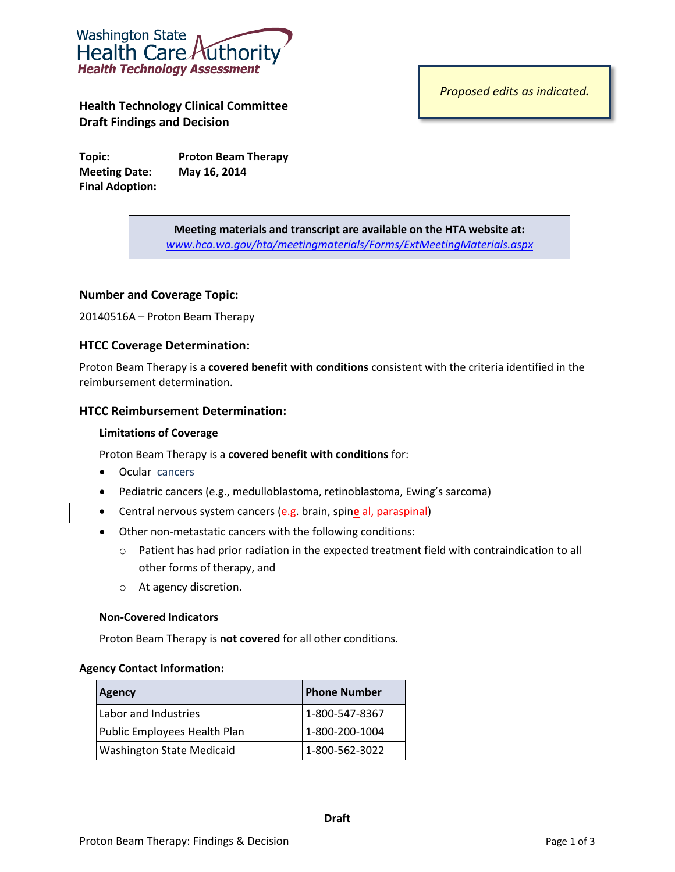

**Health Technology Clinical Committee Draft Findings and Decision**

**Topic: Proton Beam Therapy Meeting Date: May 16, 2014 Final Adoption:**

*Proposed edits as indicated.*

**Meeting materials and transcript are available on the HTA website at:** *[www.hca.wa.gov/hta/meetingmaterials/Forms/ExtMeetingMaterials.aspx](http://www.hca.wa.gov/hta/meetingmaterials/Forms/ExtMeetingMaterials.aspx)*

## **Number and Coverage Topic:**

20140516A – Proton Beam Therapy

## **HTCC Coverage Determination:**

Proton Beam Therapy is a **covered benefit with conditions** consistent with the criteria identified in the reimbursement determination.

## **HTCC Reimbursement Determination:**

### **Limitations of Coverage**

Proton Beam Therapy is a **covered benefit with conditions** for:

- Ocular cancers
- Pediatric cancers (e.g., medulloblastoma, retinoblastoma, Ewing's sarcoma)
- **•** Central nervous system cancers (e.g. brain, spine al, paraspinal)
- Other non-metastatic cancers with the following conditions:
	- o Patient has had prior radiation in the expected treatment field with contraindication to all other forms of therapy, and
	- o At agency discretion.

## **Non-Covered Indicators**

Proton Beam Therapy is **not covered** for all other conditions.

#### **Agency Contact Information:**

| Agency                           | <b>Phone Number</b> |  |
|----------------------------------|---------------------|--|
| Labor and Industries             | 1-800-547-8367      |  |
| Public Employees Health Plan     | 1-800-200-1004      |  |
| <b>Washington State Medicaid</b> | 1-800-562-3022      |  |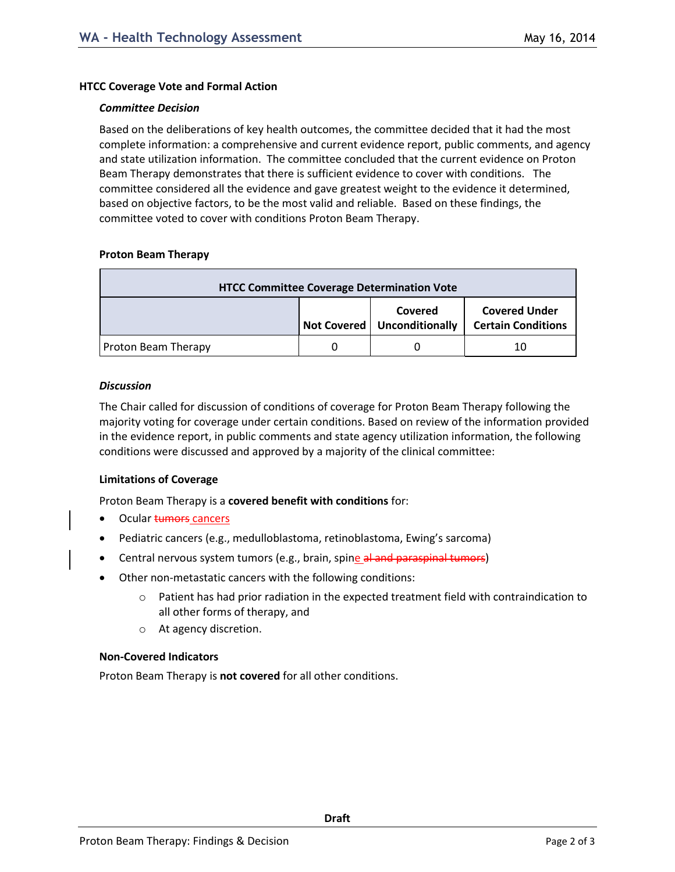### **HTCC Coverage Vote and Formal Action**

#### *Committee Decision*

Based on the deliberations of key health outcomes, the committee decided that it had the most complete information: a comprehensive and current evidence report, public comments, and agency and state utilization information. The committee concluded that the current evidence on Proton Beam Therapy demonstrates that there is sufficient evidence to cover with conditions. The committee considered all the evidence and gave greatest weight to the evidence it determined, based on objective factors, to be the most valid and reliable. Based on these findings, the committee voted to cover with conditions Proton Beam Therapy.

### **Proton Beam Therapy**

| <b>HTCC Committee Coverage Determination Vote</b> |  |                                          |                                                   |
|---------------------------------------------------|--|------------------------------------------|---------------------------------------------------|
|                                                   |  | Covered<br>Not Covered   Unconditionally | <b>Covered Under</b><br><b>Certain Conditions</b> |
| <b>Proton Beam Therapy</b>                        |  |                                          | 10                                                |

### *Discussion*

The Chair called for discussion of conditions of coverage for Proton Beam Therapy following the majority voting for coverage under certain conditions. Based on review of the information provided in the evidence report, in public comments and state agency utilization information, the following conditions were discussed and approved by a majority of the clinical committee:

## **Limitations of Coverage**

Proton Beam Therapy is a **covered benefit with conditions** for:

- Ocular **tumors** cancers
- Pediatric cancers (e.g., medulloblastoma, retinoblastoma, Ewing's sarcoma)
- Central nervous system tumors (e.g., brain, spine al and paraspinal tumors)
- Other non-metastatic cancers with the following conditions:
	- $\circ$  Patient has had prior radiation in the expected treatment field with contraindication to all other forms of therapy, and
	- o At agency discretion.

## **Non-Covered Indicators**

Proton Beam Therapy is **not covered** for all other conditions.